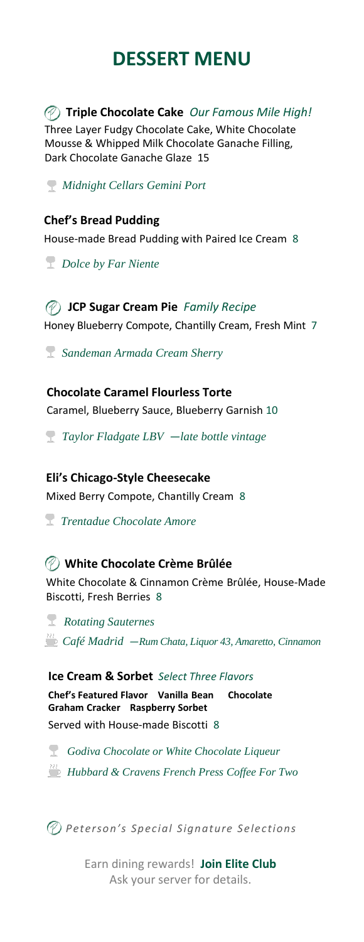# **DESSERT MENU**

**Triple Chocolate Cake** *Our Famous Mile High!*

Three Layer Fudgy Chocolate Cake, White Chocolate Mousse & Whipped Milk Chocolate Ganache Filling, Dark Chocolate Ganache Glaze 15

*Midnight Cellars Gemini Port* 

### **Chef's Bread Pudding**

House-made Bread Pudding with Paired Ice Cream 8

*Dolce by Far Niente* 

## **JCP Sugar Cream Pie** *Family Recipe* Honey Blueberry Compote, Chantilly Cream, Fresh Mint 7

*Sandeman Armada Cream Sherry*

### **Chocolate Caramel Flourless Torte**

Caramel, Blueberry Sauce, Blueberry Garnish 10

*Taylor Fladgate LBV ―late bottle vintage*

### **Eli's Chicago-Style Cheesecake**

Mixed Berry Compote, Chantilly Cream 8

*Trentadue Chocolate Amore* 

## **White Chocolate Crème Brûlée**

White Chocolate & Cinnamon Crème Brûlée, House-Made Biscotti, Fresh Berries 8

*Rotating Sauternes Café Madrid ―Rum Chata, Liquor 43, Amaretto, Cinnamon*

### **Ice Cream & Sorbet** *Select Three Flavors*

**Chef's Featured Flavor Vanilla Bean Chocolate Graham Cracker Raspberry Sorbet** Served with House-made Biscotti 8

*Godiva Chocolate or White Chocolate Liqueur* 

*Hubbard & Cravens French Press Coffee For Two* 

*Peterson's Special Signature Selections*

Earn dining rewards! **Join Elite Club**  Ask your server for details.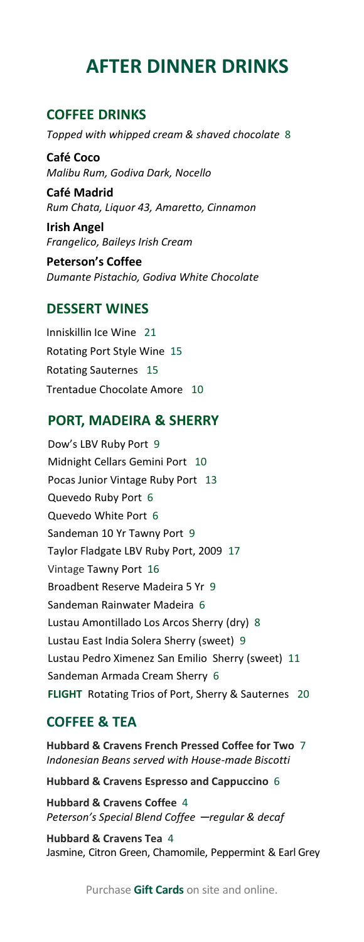## **AFTER DINNER DRINKS**

### **COFFEE DRINKS**

*Topped with whipped cream & shaved chocolate* 8

**Café Coco** *Malibu Rum, Godiva Dark, Nocello*

**Café Madrid**  *Rum Chata, Liquor 43, Amaretto, Cinnamon*

**Irish Angel** *Frangelico, Baileys Irish Cream* 

**Peterson's Coffee** *Dumante Pistachio, Godiva White Chocolate*

#### **DESSERT WINES**

Inniskillin Ice Wine 21 Rotating Port Style Wine 15 Rotating Sauternes 15 Trentadue Chocolate Amore 10

### **PORT, MADEIRA & SHERRY**

Dow's LBV Ruby Port 9 Midnight Cellars Gemini Port 10 Pocas Junior Vintage Ruby Port 13 Quevedo Ruby Port 6 Quevedo White Port 6 Sandeman 10 Yr Tawny Port 9 Taylor Fladgate LBV Ruby Port, 2009 17 Vintage Tawny Port 16 Broadbent Reserve Madeira 5 Yr 9 Sandeman Rainwater Madeira 6 Lustau Amontillado Los Arcos Sherry (dry) 8 Lustau East India Solera Sherry (sweet) 9 Lustau Pedro Ximenez San Emilio Sherry (sweet) 11 Sandeman Armada Cream Sherry 6 **FLIGHT** Rotating Trios of Port, Sherry & Sauternes 20

#### **COFFEE & TEA**

**Hubbard & Cravens French Pressed Coffee for Two** 7 *Indonesian Beans served with House-made Biscotti*

**Hubbard & Cravens Espresso and Cappuccino** 6

**Hubbard & Cravens Coffee** 4 *Peterson's Special Blend Coffee ─regular & decaf* 

**Hubbard & Cravens Tea** 4 Jasmine, Citron Green, Chamomile, Peppermint & Earl Grey

Purchase **Gift Cards** on site and online.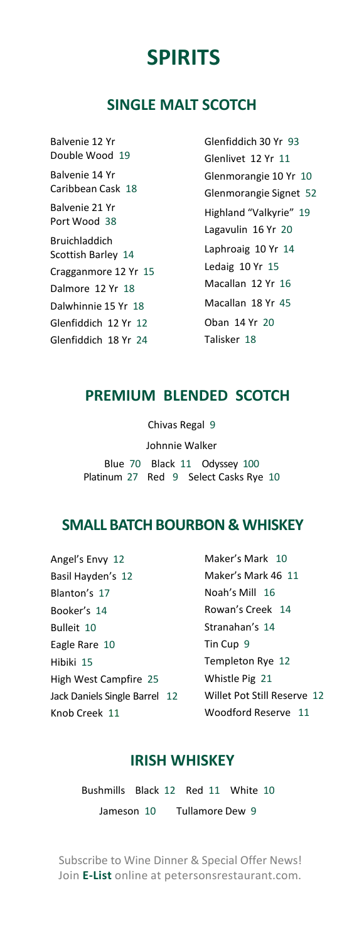## **SPIRITS**

## **SINGLE MALT SCOTCH**

Balvenie 12 Yr Double Wood 19 Balvenie 14 Yr Caribbean Cask 18 Balvenie 21 Yr Port Wood 38 Bruichladdich Scottish Barley 14 Cragganmore 12 Yr 15 Dalmore 12 Yr 18 Dalwhinnie 15 Yr 18 Glenfiddich 12 Yr 12 Glenfiddich 18 Yr 24

Glenfiddich 30 Yr 93 Glenlivet 12 Yr 11 Glenmorangie 10 Yr 10 Glenmorangie Signet 52 Highland "Valkyrie" 19 Lagavulin 16 Yr 20 Laphroaig 10 Yr 14 Ledaig 10 Yr 15 Macallan 12 Yr 16 Macallan 18 Yr 45 Oban 14 Yr 20 Talisker 18

## **PREMIUM BLENDED SCOTCH**

Chivas Regal 9 Johnnie Walker Blue 70 Black 11 Odyssey 100 Platinum 27 Red 9 Select Casks Rye 10

## **SMALL BATCH BOURBON & WHISKEY**

Angel's Envy 12 Basil Hayden's 12 Blanton's 17 Booker's 14 Bulleit 10 Eagle Rare 10 Hibiki 15 High West Campfire 25 Jack Daniels Single Barrel 12 Knob Creek 11

Maker's Mark 10 Maker's Mark 46 11 Noah's Mill 16 Rowan's Creek 14 Stranahan's 14 Tin Cup 9 Templeton Rye 12 Whistle Pig 21 Willet Pot Still Reserve 12 Woodford Reserve 11

## **IRISH WHISKEY**

Bushmills Black 12 Red 11 White 10 Jameson 10 Tullamore Dew 9

Subscribe to Wine Dinner & Special Offer News! Join **E-List** online at petersonsrestaurant.com.